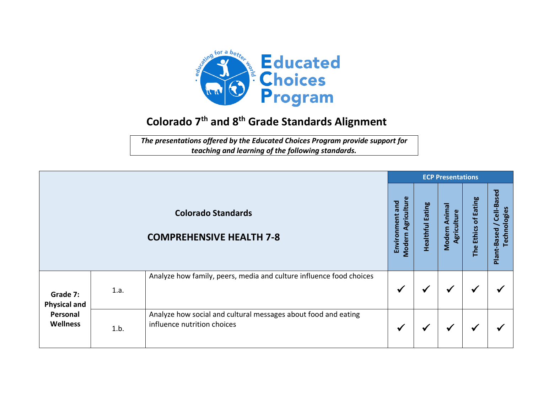

## **Colorado 7 th and 8 th Grade Standards Alignment**

*The presentations offered by the Educated Choices Program provide support for teaching and learning of the following standards.*

|                                                                |      |                                                                                               |                                                 | <b>ECP Presentations</b> |                                        |                      |                                             |  |  |  |
|----------------------------------------------------------------|------|-----------------------------------------------------------------------------------------------|-------------------------------------------------|--------------------------|----------------------------------------|----------------------|---------------------------------------------|--|--|--|
|                                                                |      | <b>Colorado Standards</b><br><b>COMPREHENSIVE HEALTH 7-8</b>                                  | Agriculture<br>Environment and<br><b>Modern</b> | <b>Healthful Eating</b>  | Animal<br>Agriculture<br><b>Modern</b> | The Ethics of Eating | Cell-Based<br>Technologies<br>Plant-Based / |  |  |  |
| Grade 7:<br><b>Physical and</b><br>Personal<br><b>Wellness</b> | 1.a. | Analyze how family, peers, media and culture influence food choices                           | $\checkmark$                                    | $\checkmark$             | $\checkmark$                           | √                    |                                             |  |  |  |
|                                                                | 1.b. | Analyze how social and cultural messages about food and eating<br>influence nutrition choices | $\checkmark$                                    | √                        | $\checkmark$                           | ✔                    |                                             |  |  |  |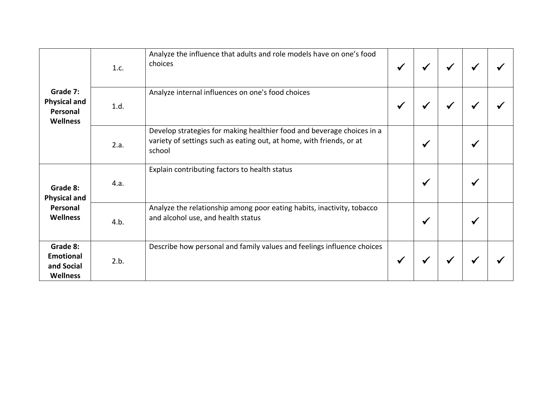| Grade 7:<br><b>Physical and</b><br>Personal<br><b>Wellness</b> | 1.c. | Analyze the influence that adults and role models have on one's food<br>choices                                                                          | ✔ | ₩            |   |  |
|----------------------------------------------------------------|------|----------------------------------------------------------------------------------------------------------------------------------------------------------|---|--------------|---|--|
|                                                                | 1.d. | Analyze internal influences on one's food choices                                                                                                        | ✔ | M            |   |  |
|                                                                | 2.a. | Develop strategies for making healthier food and beverage choices in a<br>variety of settings such as eating out, at home, with friends, or at<br>school |   | ✔            | ₩ |  |
| Grade 8:<br><b>Physical and</b><br>Personal<br><b>Wellness</b> | 4.a. | Explain contributing factors to health status                                                                                                            |   | $\checkmark$ |   |  |
|                                                                | 4.b. | Analyze the relationship among poor eating habits, inactivity, tobacco<br>and alcohol use, and health status                                             |   | $\checkmark$ |   |  |
| Grade 8:<br><b>Emotional</b><br>and Social<br>Wellness         | 2.b. | Describe how personal and family values and feelings influence choices                                                                                   | ✔ | ₩            |   |  |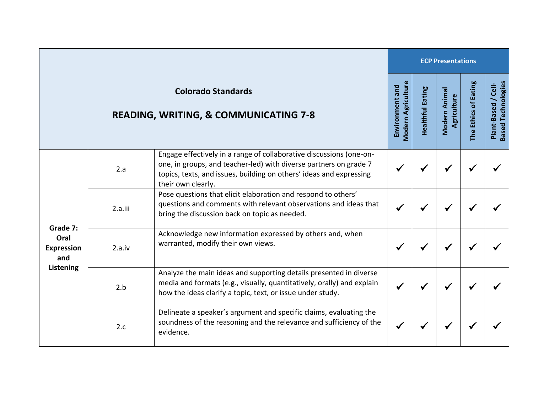|                                                                  |         |                                                                                                                                                                                                                                       |                                              |                         | <b>ECP Presentations</b>     |                      |                                                       |  |  |  |  |
|------------------------------------------------------------------|---------|---------------------------------------------------------------------------------------------------------------------------------------------------------------------------------------------------------------------------------------|----------------------------------------------|-------------------------|------------------------------|----------------------|-------------------------------------------------------|--|--|--|--|
|                                                                  |         | <b>Colorado Standards</b><br><b>READING, WRITING, &amp; COMMUNICATING 7-8</b>                                                                                                                                                         | <b>Modern Agriculture</b><br>Environment and | <b>Healthful Eating</b> | Modern Animal<br>Agriculture | The Ethics of Eating | <b>Based Technologies</b><br>$/$ Cell-<br>Plant-Based |  |  |  |  |
| Grade 7:<br>Oral<br><b>Expression</b><br>and<br><b>Listening</b> | 2.a     | Engage effectively in a range of collaborative discussions (one-on-<br>one, in groups, and teacher-led) with diverse partners on grade 7<br>topics, texts, and issues, building on others' ideas and expressing<br>their own clearly. |                                              |                         | √                            | ✔                    |                                                       |  |  |  |  |
|                                                                  | 2.a.iii | Pose questions that elicit elaboration and respond to others'<br>questions and comments with relevant observations and ideas that<br>bring the discussion back on topic as needed.                                                    |                                              |                         |                              |                      |                                                       |  |  |  |  |
|                                                                  | 2.a.iv  | Acknowledge new information expressed by others and, when<br>warranted, modify their own views.                                                                                                                                       | $\checkmark$                                 |                         |                              |                      |                                                       |  |  |  |  |
|                                                                  | 2.b     | Analyze the main ideas and supporting details presented in diverse<br>media and formats (e.g., visually, quantitatively, orally) and explain<br>how the ideas clarify a topic, text, or issue under study.                            |                                              |                         | √                            | ✔                    |                                                       |  |  |  |  |
|                                                                  | 2.c     | Delineate a speaker's argument and specific claims, evaluating the<br>soundness of the reasoning and the relevance and sufficiency of the<br>evidence.                                                                                | $\checkmark$                                 |                         |                              | ✔                    |                                                       |  |  |  |  |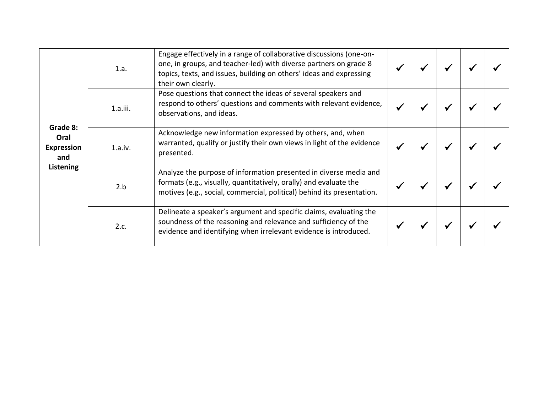|                                                           | 1.a.        | Engage effectively in a range of collaborative discussions (one-on-<br>one, in groups, and teacher-led) with diverse partners on grade 8<br>topics, texts, and issues, building on others' ideas and expressing<br>their own clearly. |  |  |  |
|-----------------------------------------------------------|-------------|---------------------------------------------------------------------------------------------------------------------------------------------------------------------------------------------------------------------------------------|--|--|--|
|                                                           | $1.a.$ iii. | Pose questions that connect the ideas of several speakers and<br>respond to others' questions and comments with relevant evidence,<br>observations, and ideas.                                                                        |  |  |  |
| Grade 8:<br>Oral<br><b>Expression</b><br>and<br>Listening | 1.a.iv.     | Acknowledge new information expressed by others, and, when<br>warranted, qualify or justify their own views in light of the evidence<br>presented.                                                                                    |  |  |  |
|                                                           | 2.b         | Analyze the purpose of information presented in diverse media and<br>formats (e.g., visually, quantitatively, orally) and evaluate the<br>motives (e.g., social, commercial, political) behind its presentation.                      |  |  |  |
|                                                           | 2.c.        | Delineate a speaker's argument and specific claims, evaluating the<br>soundness of the reasoning and relevance and sufficiency of the<br>evidence and identifying when irrelevant evidence is introduced.                             |  |  |  |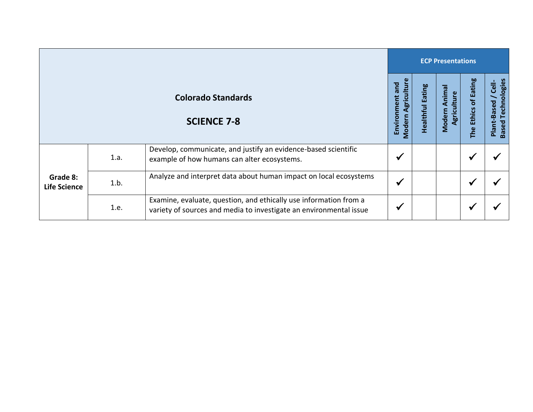|                                 |      |                                                                                                                                         |                                                 | <b>ECP Presentations</b> |                                 |                      |                                                     |  |  |
|---------------------------------|------|-----------------------------------------------------------------------------------------------------------------------------------------|-------------------------------------------------|--------------------------|---------------------------------|----------------------|-----------------------------------------------------|--|--|
|                                 |      | <b>Colorado Standards</b><br><b>SCIENCE 7-8</b>                                                                                         | Agriculture<br>Environment and<br><b>Modern</b> | Eating<br>Healthful      | Animal<br>Agriculture<br>Modern | The Ethics of Eating | <b>Based Technologies</b><br>/ Cell-<br>Plant-Based |  |  |
| Grade 8:<br><b>Life Science</b> | 1.a. | Develop, communicate, and justify an evidence-based scientific<br>example of how humans can alter ecosystems.                           | ₩                                               |                          |                                 | ✔                    |                                                     |  |  |
|                                 | 1.b. | Analyze and interpret data about human impact on local ecosystems                                                                       | $\checkmark$                                    |                          |                                 | √                    |                                                     |  |  |
|                                 | 1.e. | Examine, evaluate, question, and ethically use information from a<br>variety of sources and media to investigate an environmental issue | ₩                                               |                          |                                 |                      |                                                     |  |  |